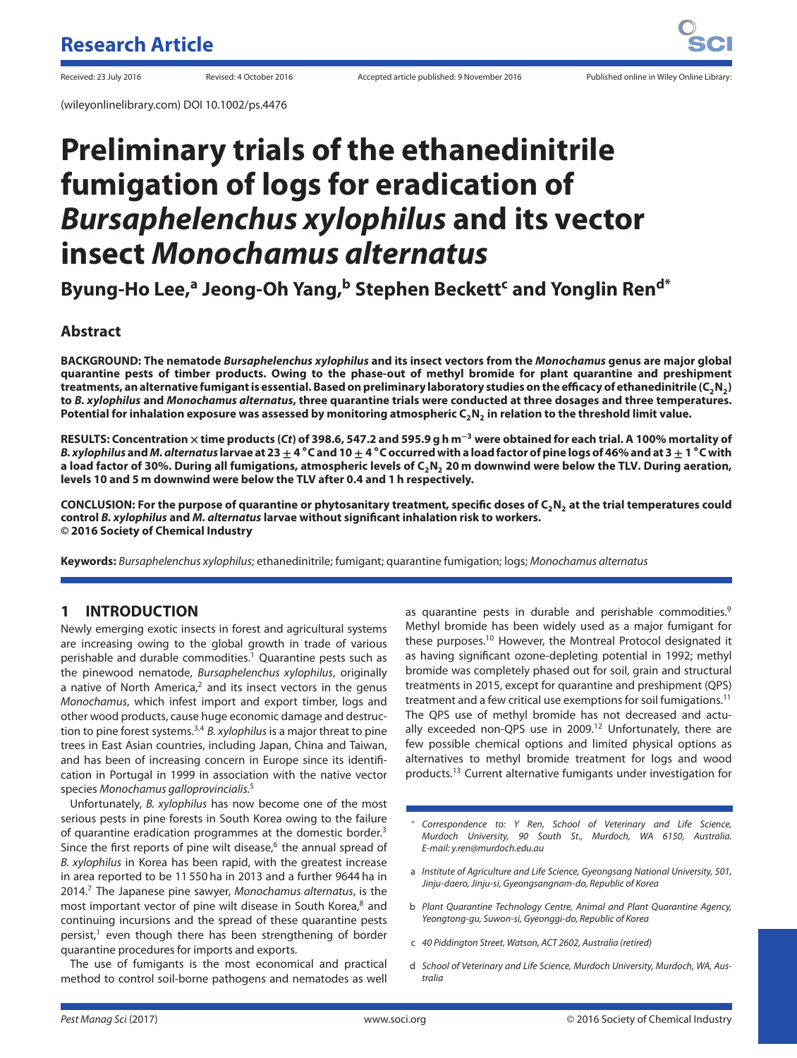(wileyonlinelibrary.com) DOI 10.1002/ps.4476

# **Preliminary trials of the ethanedinitrile fumigation of logs for eradication of** *Bursaphelenchus xylophilus* **and its vector insect** *Monochamus alternatus*

**Byung-Ho Lee,<sup>a</sup> Jeong-Oh Yang,<sup>b</sup> Stephen Beckett<sup>c</sup> and Yonglin Ren<sup>d\*</sup>** 

## **Abstract**

**BACKGROUND: The nematode** *Bursaphelenchus xylophilus* **and its insect vectors from the** *Monochamus* **genus are major global quarantine pests of timber products. Owing to the phase-out of methyl bromide for plant quarantine and preshipment** treatments, an alternative fumigant is essential. Based on preliminary laboratory studies on the efficacy of ethanedinitrile (C<sub>2</sub>N<sub>2</sub>) **to** *B. xylophilus* **and** *Monochamus alternatus***, three quarantine trials were conducted at three dosages and three temperatures.** Potential for inhalation exposure was assessed by monitoring atmospheric C<sub>2</sub>N<sub>2</sub> in relation to the threshold limit value.

**RESULTS: Concentration × time products (***Ct***) of 398.6, 547.2 and 595.9 g h m<sup>−</sup><sup>3</sup> were obtained for each trial. A 100% mortality of** B. xylophilus and M. alternatus larvae at 23  $\pm$  4 °C and 10  $\pm$  4 °C occurred with a load factor of pine logs of 46% and at 3  $\pm$  1 °C with a load factor of 30%. During all fumigations, atmospheric levels of C<sub>2</sub>N<sub>2</sub> 20 m downwind were below the TLV. During aeration, **levels 10 and 5 m downwind were below the TLV after 0.4 and 1 h respectively.**

**CONCLUSION: For the purpose of quarantine or phytosanitary treatment, specific doses of C2N2 at the trial temperatures could control** *B. xylophilus* **and** *M. alternatus* **larvae without significant inhalation risk to workers. © 2016 Society of Chemical Industry**

**Keywords:** Bursaphelenchus xylophilus; ethanedinitrile; fumigant; quarantine fumigation; logs; Monochamus alternatus

# **1 INTRODUCTION**

Newly emerging exotic insects in forest and agricultural systems are increasing owing to the global growth in trade of various perishable and durable commodities.<sup>1</sup> Quarantine pests such as the pinewood nematode, Bursaphelenchus xylophilus, originally a native of North America, $2$  and its insect vectors in the genus Monochamus, which infest import and export timber, logs and other wood products, cause huge economic damage and destruction to pine forest systems.3*,*<sup>4</sup> B. xylophilus is a major threat to pine trees in East Asian countries, including Japan, China and Taiwan, and has been of increasing concern in Europe since its identification in Portugal in 1999 in association with the native vector species Monochamus galloprovincialis.<sup>5</sup>

Unfortunately, B. xylophilus has now become one of the most serious pests in pine forests in South Korea owing to the failure of quarantine eradication programmes at the domestic border.<sup>3</sup> Since the first reports of pine wilt disease, $6$  the annual spread of B. xylophilus in Korea has been rapid, with the greatest increase in area reported to be 11 550 ha in 2013 and a further 9644 ha in  $2014<sup>7</sup>$  The Japanese pine sawyer, Monochamus alternatus, is the most important vector of pine wilt disease in South Korea,<sup>8</sup> and continuing incursions and the spread of these quarantine pests persist, $1$  even though there has been strengthening of border quarantine procedures for imports and exports.

The use of fumigants is the most economical and practical method to control soil-borne pathogens and nematodes as well

as quarantine pests in durable and perishable commodities.<sup>9</sup> Methyl bromide has been widely used as a major fumigant for these purposes.<sup>10</sup> However, the Montreal Protocol designated it as having significant ozone-depleting potential in 1992; methyl bromide was completely phased out for soil, grain and structural treatments in 2015, except for quarantine and preshipment (QPS) treatment and a few critical use exemptions for soil fumigations.<sup>11</sup> The QPS use of methyl bromide has not decreased and actually exceeded non-QPS use in 2009.<sup>12</sup> Unfortunately, there are few possible chemical options and limited physical options as alternatives to methyl bromide treatment for logs and wood products.13 Current alternative fumigants under investigation for

- Correspondence to: Y Ren, School of Veterinary and Life Science, Murdoch University, 90 South St., Murdoch, WA 6150, Australia. E-mail: y.ren@murdoch.edu.au
- a Institute of Agriculture and Life Science, Gyeongsang National University, 501, Jinju-daero, Jinju-si, Gyeongsangnam-do, Republic of Korea
- b Plant Quarantine Technology Centre, Animal and Plant Quarantine Agency, Yeongtong-gu, Suwon-si, Gyeonggi-do, Republic of Korea
- c 40 Piddington Street, Watson, ACT 2602, Australia (retired)
- d School of Veterinary and Life Science, Murdoch University, Murdoch, WA, Australia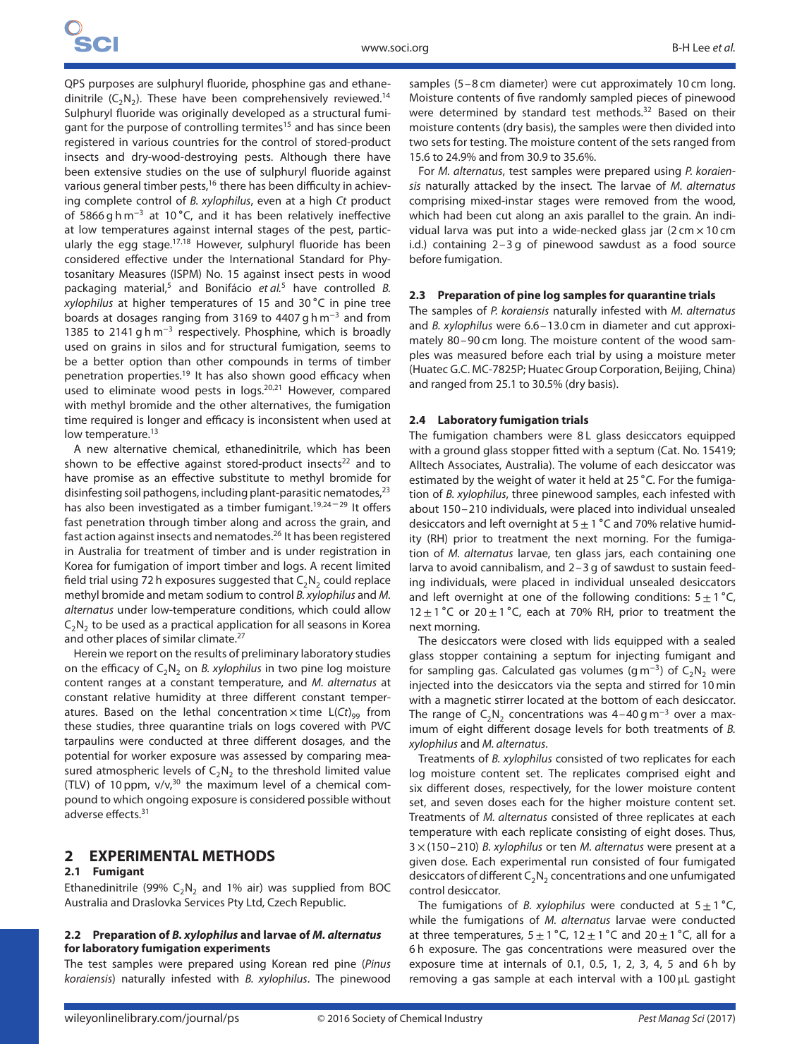QPS purposes are sulphuryl fluoride, phosphine gas and ethanedinitrile  $(C_2N_2)$ . These have been comprehensively reviewed.<sup>14</sup> Sulphuryl fluoride was originally developed as a structural fumigant for the purpose of controlling termites<sup>15</sup> and has since been registered in various countries for the control of stored-product insects and dry-wood-destroying pests. Although there have been extensive studies on the use of sulphuryl fluoride against various general timber pests,<sup>16</sup> there has been difficulty in achieving complete control of B. xylophilus, even at a high Ct product of 5866 g h m<sup>−</sup><sup>3</sup> at 10 ∘C, and it has been relatively ineffective at low temperatures against internal stages of the pest, particularly the egg stage.17*,*<sup>18</sup> However, sulphuryl fluoride has been considered effective under the International Standard for Phytosanitary Measures (ISPM) No. 15 against insect pests in wood packaging material,<sup>5</sup> and Bonifácio et  $al$ <sup>5</sup> have controlled B. xylophilus at higher temperatures of 15 and 30 ∘C in pine tree boards at dosages ranging from 3169 to 4407 g h m<sup>−</sup><sup>3</sup> and from 1385 to 2141 g h m<sup>−</sup><sup>3</sup> respectively. Phosphine, which is broadly used on grains in silos and for structural fumigation, seems to be a better option than other compounds in terms of timber penetration properties.<sup>19</sup> It has also shown good efficacy when used to eliminate wood pests in logs.20*,*<sup>21</sup> However, compared with methyl bromide and the other alternatives, the fumigation time required is longer and efficacy is inconsistent when used at low temperature.<sup>13</sup>

A new alternative chemical, ethanedinitrile, which has been shown to be effective against stored-product insects $22$  and to have promise as an effective substitute to methyl bromide for disinfesting soil pathogens, including plant-parasitic nematodes, $^{23}$ has also been investigated as a timber fumigant.<sup>19,24-29</sup> It offers fast penetration through timber along and across the grain, and fast action against insects and nematodes.26 It has been registered in Australia for treatment of timber and is under registration in Korea for fumigation of import timber and logs. A recent limited field trial using 72 h exposures suggested that  $C_2N_2$  could replace methyl bromide and metam sodium to control B. xylophilus and M. alternatus under low-temperature conditions, which could allow  $C_2N_2$  to be used as a practical application for all seasons in Korea and other places of similar climate.<sup>27</sup>

Herein we report on the results of preliminary laboratory studies on the efficacy of  $C_2N_2$  on B. xylophilus in two pine log moisture content ranges at a constant temperature, and M. alternatus at constant relative humidity at three different constant temperatures. Based on the lethal concentration  $\times$  time L(Ct)<sub>99</sub> from these studies, three quarantine trials on logs covered with PVC tarpaulins were conducted at three different dosages, and the potential for worker exposure was assessed by comparing measured atmospheric levels of  $C_2N_2$  to the threshold limited value (TLV) of 10 ppm,  $v/v$ ,<sup>30</sup> the maximum level of a chemical compound to which ongoing exposure is considered possible without adverse effects.<sup>31</sup>

# **2 EXPERIMENTAL METHODS**

#### **2.1 Fumigant**

Ethanedinitrile (99%  $C_2N_2$  and 1% air) was supplied from BOC Australia and Draslovka Services Pty Ltd, Czech Republic.

## **2.2 Preparation of** *B. xylophilus* **and larvae of** *M. alternatus* **for laboratory fumigation experiments**

The test samples were prepared using Korean red pine (Pinus koraiensis) naturally infested with B. xylophilus. The pinewood samples (5–8 cm diameter) were cut approximately 10 cm long. Moisture contents of five randomly sampled pieces of pinewood were determined by standard test methods.<sup>32</sup> Based on their moisture contents (dry basis), the samples were then divided into two sets for testing. The moisture content of the sets ranged from 15.6 to 24.9% and from 30.9 to 35.6%.

For M. alternatus, test samples were prepared using P. koraiensis naturally attacked by the insect. The larvae of M. alternatus comprising mixed-instar stages were removed from the wood, which had been cut along an axis parallel to the grain. An individual larva was put into a wide-necked glass jar (2 cm  $\times$  10 cm i.d.) containing 2–3 g of pinewood sawdust as a food source before fumigation.

#### **2.3 Preparation of pine log samples for quarantine trials**

The samples of P. koraiensis naturally infested with M. alternatus and B. xylophilus were 6.6–13.0 cm in diameter and cut approximately 80–90 cm long. The moisture content of the wood samples was measured before each trial by using a moisture meter (Huatec G.C. MC-7825P; Huatec Group Corporation, Beijing, China) and ranged from 25.1 to 30.5% (dry basis).

#### **2.4 Laboratory fumigation trials**

The fumigation chambers were 8 L glass desiccators equipped with a ground glass stopper fitted with a septum (Cat. No. 15419; Alltech Associates, Australia). The volume of each desiccator was estimated by the weight of water it held at 25 ∘C. For the fumigation of B. xylophilus, three pinewood samples, each infested with about 150–210 individuals, were placed into individual unsealed desiccators and left overnight at  $5 \pm 1$  °C and 70% relative humidity (RH) prior to treatment the next morning. For the fumigation of M. alternatus larvae, ten glass jars, each containing one larva to avoid cannibalism, and 2–3 g of sawdust to sustain feeding individuals, were placed in individual unsealed desiccators and left overnight at one of the following conditions:  $5 \pm 1^{\circ}C$ , 12 $±1$  °C or 20 $±1$  °C, each at 70% RH, prior to treatment the next morning.

The desiccators were closed with lids equipped with a sealed glass stopper containing a septum for injecting fumigant and for sampling gas. Calculated gas volumes (g m<sup>-3</sup>) of C<sub>2</sub>N<sub>2</sub> were injected into the desiccators via the septa and stirred for 10 min with a magnetic stirrer located at the bottom of each desiccator. The range of  $C_2N_2$  concentrations was 4–40 g m<sup>-3</sup> over a maximum of eight different dosage levels for both treatments of B. xylophilus and M. alternatus.

Treatments of B. xylophilus consisted of two replicates for each log moisture content set. The replicates comprised eight and six different doses, respectively, for the lower moisture content set, and seven doses each for the higher moisture content set. Treatments of M. alternatus consisted of three replicates at each temperature with each replicate consisting of eight doses. Thus,  $3 \times (150 - 210)$  B. xylophilus or ten M. alternatus were present at a given dose. Each experimental run consisted of four fumigated desiccators of different  $C_2N_2$  concentrations and one unfumigated control desiccator.

The fumigations of B. xylophilus were conducted at  $5±1$  °C, while the fumigations of *M. alternatus* larvae were conducted at three temperatures,  $5 \pm 1$  °C,  $12 \pm 1$  °C and  $20 \pm 1$  °C, all for a 6 h exposure. The gas concentrations were measured over the exposure time at internals of 0.1, 0.5, 1, 2, 3, 4, 5 and 6 h by removing a gas sample at each interval with a 100 μL gastight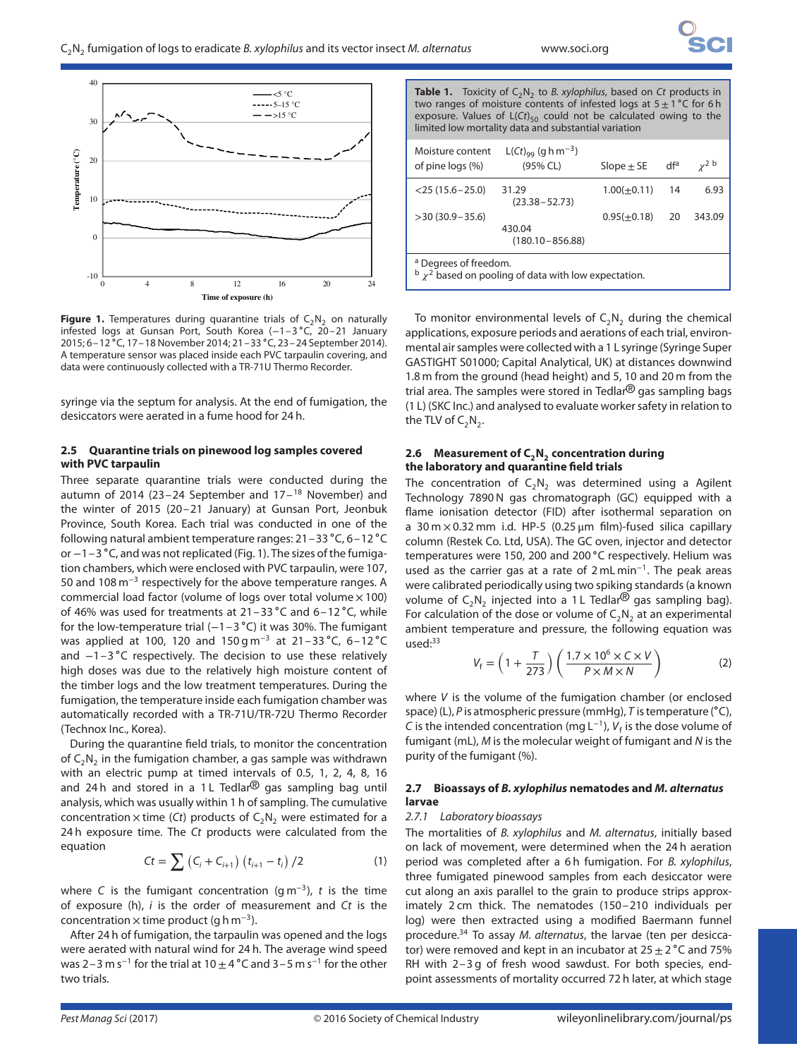

**Figure 1.** Temperatures during quarantine trials of  $C_2N_2$  on naturally infested logs at Gunsan Port, South Korea (−1–3 ∘C, 20–21 January 2015; 6–12 ∘C, 17–18 November 2014; 21–33 ∘C, 23–24 September 2014). A temperature sensor was placed inside each PVC tarpaulin covering, and data were continuously collected with a TR-71U Thermo Recorder.

syringe via the septum for analysis. At the end of fumigation, the desiccators were aerated in a fume hood for 24 h.

## **2.5 Quarantine trials on pinewood log samples covered with PVC tarpaulin**

Three separate quarantine trials were conducted during the autumn of 2014 (23-24 September and  $17-18$  November) and the winter of 2015 (20–21 January) at Gunsan Port, Jeonbuk Province, South Korea. Each trial was conducted in one of the following natural ambient temperature ranges: 21–33 ∘C, 6–12 ∘C or −1–3 ∘C, and was not replicated (Fig. 1). The sizes of the fumigation chambers, which were enclosed with PVC tarpaulin, were 107, 50 and 108 m<sup>−</sup><sup>3</sup> respectively for the above temperature ranges. A commercial load factor (volume of logs over total volume  $\times$  100) of 46% was used for treatments at 21–33 ∘C and 6–12 ∘C, while for the low-temperature trial (−1–3 ∘C) it was 30%. The fumigant was applied at 100, 120 and 150 g m<sup>-3</sup> at 21-33 °C, 6-12 °C and −1–3 ∘C respectively. The decision to use these relatively high doses was due to the relatively high moisture content of the timber logs and the low treatment temperatures. During the fumigation, the temperature inside each fumigation chamber was automatically recorded with a TR-71U/TR-72U Thermo Recorder (Technox Inc., Korea).

During the quarantine field trials, to monitor the concentration of  $C_2N_2$  in the fumigation chamber, a gas sample was withdrawn with an electric pump at timed intervals of 0.5, 1, 2, 4, 8, 16 and 24 h and stored in a 1 L Tedlar $^{\circledR}$  gas sampling bag until analysis, which was usually within 1 h of sampling. The cumulative concentration  $\times$  time (Ct) products of  $C_2N_2$  were estimated for a 24 h exposure time. The Ct products were calculated from the equation

$$
Ct = \sum (C_i + C_{i+1}) (t_{i+1} - t_i) / 2
$$
 (1)

where C is the fumigant concentration (g m<sup>-3</sup>), t is the time of exposure (h),  $i$  is the order of measurement and  $Ct$  is the concentration  $\times$  time product (g h m<sup>-3</sup>).

After 24 h of fumigation, the tarpaulin was opened and the logs were aerated with natural wind for 24 h. The average wind speed was 2–3 m s<sup>-1</sup> for the trial at 10  $\pm$  4 °C and 3–5 m s<sup>-1</sup> for the other two trials.

**Table 1.** Toxicity of  $C_2N_2$  to B. xylophilus, based on Ct products in two ranges of moisture contents of infested logs at 5±1 ∘C for 6 h exposure. Values of  $L(Ct)_{50}$  could not be calculated owing to the limited low mortality data and substantial variation

| Moisture content<br>of pine logs (%)                                                                                                                                                                                                                               | L(Ct) <sub>99</sub> (g h m <sup>-3</sup> )<br>(95% CL) | Slope $\pm$ SE   | dfa | $v^2$ b |  |  |  |  |  |
|--------------------------------------------------------------------------------------------------------------------------------------------------------------------------------------------------------------------------------------------------------------------|--------------------------------------------------------|------------------|-----|---------|--|--|--|--|--|
| $<$ 25 (15.6 – 25.0)                                                                                                                                                                                                                                               | 31.29<br>$(23.38 - 52.73)$                             | $1.00(\pm 0.11)$ | 14  | 6.93    |  |  |  |  |  |
| $>$ 30 (30.9 – 35.6)                                                                                                                                                                                                                                               | 430.04<br>$(180.10 - 856.88)$                          | $0.95(\pm 0.18)$ | 20  | 343.09  |  |  |  |  |  |
| <sup>a</sup> Degrees of freedom.<br>h ? i i circuit in the contract of the contract of the contract of the contract of the contract of the contract of the contract of the contract of the contract of the contract of the contract of the contract of the contrac |                                                        |                  |     |         |  |  |  |  |  |

 $\frac{b}{x^2}$  based on pooling of data with low expectation.

To monitor environmental levels of  $C_2N_2$  during the chemical applications, exposure periods and aerations of each trial, environmental air samples were collected with a 1 L syringe (Syringe Super GASTIGHT S01000; Capital Analytical, UK) at distances downwind 1.8 m from the ground (head height) and 5, 10 and 20 m from the trial area. The samples were stored in Tedlar $\mathcal{B}$  gas sampling bags (1 L) (SKC Inc.) and analysed to evaluate worker safety in relation to the TLV of  $C_2N_2$ .

## 2.6 Measurement of C<sub>2</sub>N<sub>2</sub> concentration during **the laboratory and quarantine field trials**

The concentration of  $C_2N_2$  was determined using a Agilent Technology 7890 N gas chromatograph (GC) equipped with a flame ionisation detector (FID) after isothermal separation on a 30 m  $\times$  0.32 mm i.d. HP-5 (0.25  $\mu$ m film)-fused silica capillary column (Restek Co. Ltd, USA). The GC oven, injector and detector temperatures were 150, 200 and 200 °C respectively. Helium was used as the carrier gas at a rate of 2 mL min<sup>−</sup>1. The peak areas were calibrated periodically using two spiking standards (a known volume of  $C_2N_2$  injected into a 1 L Tedlar<sup>®</sup> gas sampling bag). For calculation of the dose or volume of  $C_2N_2$  at an experimental ambient temperature and pressure, the following equation was used:<sup>33</sup>

$$
V_{\rm f} = \left(1 + \frac{T}{273}\right) \left(\frac{1.7 \times 10^6 \times C \times V}{P \times M \times N}\right) \tag{2}
$$

where V is the volume of the fumigation chamber (or enclosed space) (L), P is atmospheric pressure (mmHg), T is temperature (°C), C is the intended concentration (mg  $L^{-1}$ ),  $V_f$  is the dose volume of fumigant (mL), M is the molecular weight of fumigant and N is the purity of the fumigant (%).

## **2.7 Bioassays of** *B. xylophilus* **nematodes and** *M. alternatus* **larvae**

#### 2.7.1 Laboratory bioassays

The mortalities of B. xylophilus and M. alternatus, initially based on lack of movement, were determined when the 24 h aeration period was completed after a 6 h fumigation. For B. xylophilus, three fumigated pinewood samples from each desiccator were cut along an axis parallel to the grain to produce strips approximately 2 cm thick. The nematodes (150–210 individuals per log) were then extracted using a modified Baermann funnel procedure.<sup>34</sup> To assay M. alternatus, the larvae (ten per desiccator) were removed and kept in an incubator at  $25 \pm 2$  °C and 75% RH with 2–3 g of fresh wood sawdust. For both species, endpoint assessments of mortality occurred 72 h later, at which stage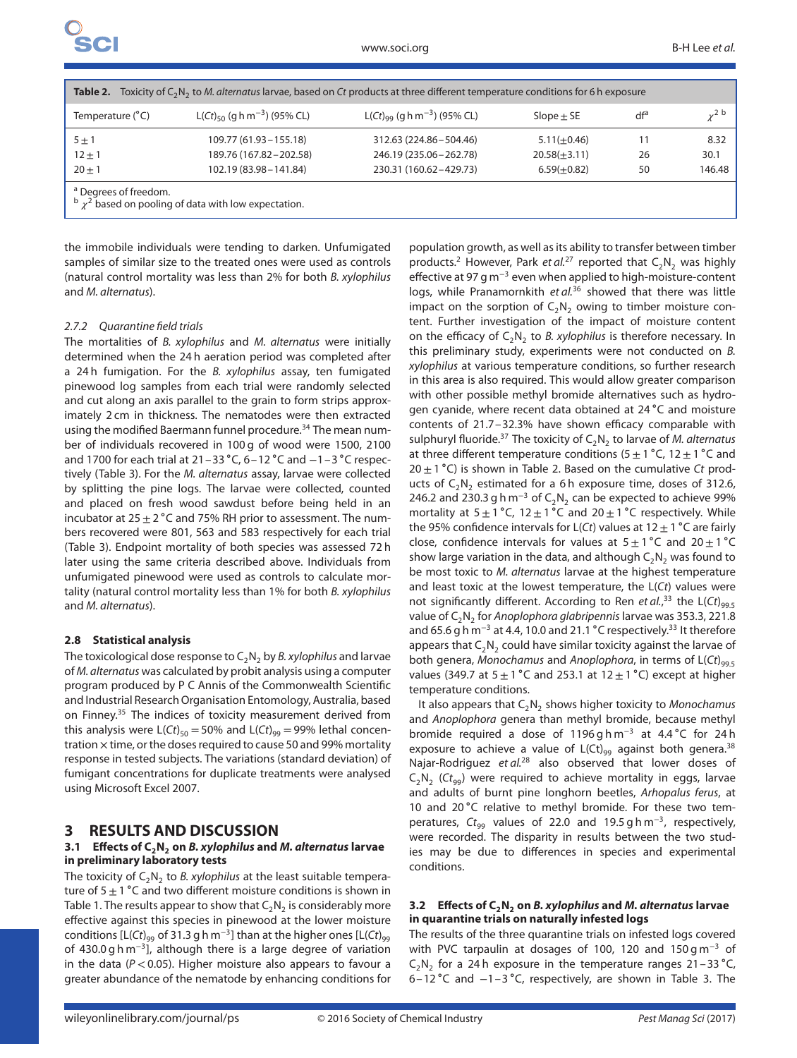| Toxicity of $C_2N_2$ to M. alternatus larvae, based on Ct products at three different temperature conditions for 6 h exposure<br>Table 2. |                                                     |                                              |                   |     |            |  |  |  |  |  |  |  |
|-------------------------------------------------------------------------------------------------------------------------------------------|-----------------------------------------------------|----------------------------------------------|-------------------|-----|------------|--|--|--|--|--|--|--|
| Temperature (°C)                                                                                                                          | L(Ct) <sub>50</sub> (g h m <sup>-3</sup> ) (95% CL) | $L(Ct)_{99}$ (g h m <sup>-3</sup> ) (95% CL) | $Slope \pm SE$    | dfª | $\sim$ 2 b |  |  |  |  |  |  |  |
| $5 \pm 1$                                                                                                                                 | $109.77(61.93 - 155.18)$                            | 312.63 (224.86 - 504.46)                     | $5.11(\pm 0.46)$  |     | 8.32       |  |  |  |  |  |  |  |
| $12 \pm 1$                                                                                                                                | 189.76 (167.82 - 202.58)                            | 246.19 (235.06 - 262.78)                     | $20.58(\pm 3.11)$ | 26  | 30.1       |  |  |  |  |  |  |  |
| $20 + 1$                                                                                                                                  | 102.19 (83.98 - 141.84)                             | 230.31 (160.62-429.73)                       | $6.59(+0.82)$     | 50  | 146.48     |  |  |  |  |  |  |  |
| <sup>a</sup> Degrees of freedom.<br>$\frac{b}{2}$ based on pooling of data with low expectation.                                          |                                                     |                                              |                   |     |            |  |  |  |  |  |  |  |

the immobile individuals were tending to darken. Unfumigated samples of similar size to the treated ones were used as controls (natural control mortality was less than 2% for both B. xylophilus and M. alternatus).

#### 2.7.2 Quarantine field trials

The mortalities of B. xylophilus and M. alternatus were initially determined when the 24 h aeration period was completed after a 24 h fumigation. For the B. xylophilus assay, ten fumigated pinewood log samples from each trial were randomly selected and cut along an axis parallel to the grain to form strips approximately 2 cm in thickness. The nematodes were then extracted using the modified Baermann funnel procedure.<sup>34</sup> The mean number of individuals recovered in 100 g of wood were 1500, 2100 and 1700 for each trial at 21–33 ∘C, 6–12 ∘C and −1–3 ∘C respectively (Table 3). For the M. alternatus assay, larvae were collected by splitting the pine logs. The larvae were collected, counted and placed on fresh wood sawdust before being held in an incubator at  $25 \pm 2$  °C and 75% RH prior to assessment. The numbers recovered were 801, 563 and 583 respectively for each trial (Table 3). Endpoint mortality of both species was assessed 72 h later using the same criteria described above. Individuals from unfumigated pinewood were used as controls to calculate mortality (natural control mortality less than 1% for both B. xylophilus and M. alternatus).

#### **2.8 Statistical analysis**

The toxicological dose response to  $C_2N_2$  by *B. xylophilus* and larvae of M. alternatus was calculated by probit analysis using a computer program produced by P C Annis of the Commonwealth Scientific and Industrial Research Organisation Entomology, Australia, based on Finney.<sup>35</sup> The indices of toxicity measurement derived from this analysis were  $L(Ct)_{50} = 50\%$  and  $L(Ct)_{99} = 99\%$  lethal concentration  $\times$  time, or the doses required to cause 50 and 99% mortality response in tested subjects. The variations (standard deviation) of fumigant concentrations for duplicate treatments were analysed using Microsoft Excel 2007.

## **3 RESULTS AND DISCUSSION**

## **3.1** Effects of C<sub>2</sub>N<sub>2</sub> on *B. xylophilus* and *M. alternatus* larvae **in preliminary laboratory tests**

The toxicity of  $C_2N_2$  to *B. xylophilus* at the least suitable temperature of  $5±1$  °C and two different moisture conditions is shown in Table 1. The results appear to show that  $C_2N_2$  is considerably more effective against this species in pinewood at the lower moisture conditions  $[L(ct)_{99}$  of 31.3 g h m<sup>-3</sup>] than at the higher ones  $[L(ct)_{99}$ of 430.0 g h m<sup>−</sup>3], although there is a large degree of variation in the data (P *<*0.05). Higher moisture also appears to favour a greater abundance of the nematode by enhancing conditions for population growth, as well as its ability to transfer between timber products.<sup>2</sup> However, Park et al.<sup>27</sup> reported that  $C_2N_2$  was highly effective at 97 g m<sup>−</sup><sup>3</sup> even when applied to high-moisture-content logs, while Pranamornkith et al.<sup>36</sup> showed that there was little impact on the sorption of  $C_2N_2$  owing to timber moisture content. Further investigation of the impact of moisture content on the efficacy of  $C_2N_2$  to B. xylophilus is therefore necessary. In this preliminary study, experiments were not conducted on B. xylophilus at various temperature conditions, so further research in this area is also required. This would allow greater comparison with other possible methyl bromide alternatives such as hydrogen cyanide, where recent data obtained at 24 ∘C and moisture contents of 21.7–32.3% have shown efficacy comparable with sulphuryl fluoride.<sup>37</sup> The toxicity of  $C_2N_2$  to larvae of M. alternatus at three different temperature conditions (5  $\pm$  1 °C, 12  $\pm$  1 °C and  $20 \pm 1$  °C) is shown in Table 2. Based on the cumulative Ct products of  $C_2N_2$  estimated for a 6 h exposure time, doses of 312.6, 246.2 and 230.3 g h m<sup>-3</sup> of C<sub>2</sub>N<sub>2</sub> can be expected to achieve 99% mortality at  $5±1 °C$ ,  $12±1 °C$  and  $20±1 °C$  respectively. While the 95% confidence intervals for L(Ct) values at 12  $\pm$  1 °C are fairly close, confidence intervals for values at  $5±1 °C$  and  $20±1 °C$ show large variation in the data, and although  $C_2N_2$  was found to be most toxic to M. alternatus larvae at the highest temperature and least toxic at the lowest temperature, the  $L(Ct)$  values were not significantly different. According to Ren *et al.,*<sup>33</sup> the L(Ct)<sub>99.5</sub> value of  $C_2N_2$  for Anoplophora glabripennis larvae was 353.3, 221.8 and 65.6 g h m<sup>-3</sup> at 4.4, 10.0 and 21.1 °C respectively.<sup>33</sup> It therefore appears that  $C_2N_2$  could have similar toxicity against the larvae of both genera, Monochamus and Anoplophora, in terms of  $L(Ct)_{99.5}$ values (349.7 at  $5±1$  °C and 253.1 at  $12±1$  °C) except at higher temperature conditions.

It also appears that  $C_2N_2$  shows higher toxicity to Monochamus and Anoplophora genera than methyl bromide, because methyl bromide required a dose of 1196 g h m<sup>−</sup><sup>3</sup> at 4.4 ∘C for 24 h exposure to achieve a value of  $L( Ct)_{99}$  against both genera.<sup>38</sup> Najar-Rodriguez et al.<sup>28</sup> also observed that lower doses of  $C_2N_2$  (Ct<sub>99</sub>) were required to achieve mortality in eggs, larvae and adults of burnt pine longhorn beetles, Arhopalus ferus, at 10 and 20 ∘C relative to methyl bromide. For these two temperatures,  $Ct_{99}$  values of 22.0 and 19.5 g h m<sup>-3</sup>, respectively, were recorded. The disparity in results between the two studies may be due to differences in species and experimental conditions.

#### **3.2 Effects of C2N2 on** *B. xylophilus* **and** *M. alternatus* **larvae in quarantine trials on naturally infested logs**

The results of the three quarantine trials on infested logs covered with PVC tarpaulin at dosages of 100, 120 and 150 g m<sup>-3</sup> of C<sub>2</sub>N<sub>2</sub> for a 24 h exposure in the temperature ranges  $21-33$  °C, 6–12 ∘C and −1–3 ∘C, respectively, are shown in Table 3. The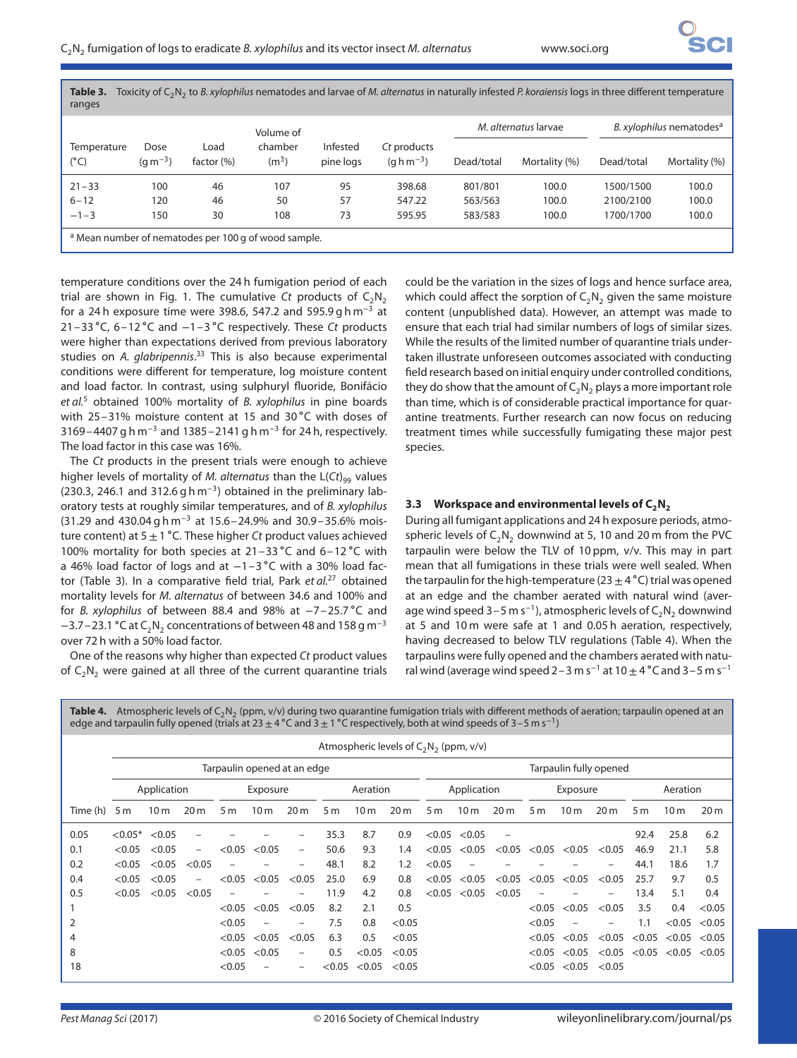| Toxicity of $C_2N_2$ to B. xylophilus nematodes and larvae of M. alternatus in naturally infested P. koraiensis logs in three different temperature<br>Table 3.<br>ranges |                      |                    |                              |                       |                                                   |            |                      |                                      |               |  |  |  |
|---------------------------------------------------------------------------------------------------------------------------------------------------------------------------|----------------------|--------------------|------------------------------|-----------------------|---------------------------------------------------|------------|----------------------|--------------------------------------|---------------|--|--|--|
|                                                                                                                                                                           |                      |                    | Volume of                    |                       |                                                   |            | M. alternatus larvae | B. xylophilus nematodes <sup>a</sup> |               |  |  |  |
| Temperature<br>(°C)                                                                                                                                                       | Dose<br>$(q m^{-3})$ | Load<br>factor (%) | chamber<br>(m <sup>3</sup> ) | Infested<br>pine logs | Ct products<br>$(q \, \text{h} \, \text{m}^{-3})$ | Dead/total | Mortality (%)        | Dead/total                           | Mortality (%) |  |  |  |
| $21 - 33$                                                                                                                                                                 | 100                  | 46                 | 107                          | 95                    | 398.68                                            | 801/801    | 100.0                | 1500/1500                            | 100.0         |  |  |  |
| $6 - 12$                                                                                                                                                                  | 120                  | 46                 | 50                           | 57                    | 547.22                                            | 563/563    | 100.0                | 2100/2100                            | 100.0         |  |  |  |
| $-1-3$                                                                                                                                                                    | 150                  | 30                 | 108                          | 73                    | 595.95                                            | 583/583    | 100.0                | 1700/1700                            | 100.0         |  |  |  |
| <sup>a</sup> Mean number of nematodes per 100 g of wood sample.                                                                                                           |                      |                    |                              |                       |                                                   |            |                      |                                      |               |  |  |  |

temperature conditions over the 24 h fumigation period of each trial are shown in Fig. 1. The cumulative Ct products of  $C_2N_2$ for a 24 h exposure time were 398.6, 547.2 and 595.9 g h m<sup>-3</sup> at 21–33 ∘C, 6–12 ∘C and −1–3 ∘C respectively. These Ct products were higher than expectations derived from previous laboratory studies on A. glabripennis.<sup>33</sup> This is also because experimental conditions were different for temperature, log moisture content and load factor. In contrast, using sulphuryl fluoride, Bonifácio et  $al<sup>5</sup>$  obtained 100% mortality of B. xylophilus in pine boards with 25–31% moisture content at 15 and 30 °C with doses of 3169–4407 g h m<sup>-3</sup> and 1385–2141 g h m<sup>-3</sup> for 24 h, respectively. The load factor in this case was 16%.

The Ct products in the present trials were enough to achieve higher levels of mortality of M. alternatus than the  $L(Ct)_{99}$  values (230.3, 246.1 and 312.6 g h m−3) obtained in the preliminary laboratory tests at roughly similar temperatures, and of B. xylophilus (31.29 and 430.04 g h m<sup>−</sup><sup>3</sup> at 15.6–24.9% and 30.9–35.6% moisture content) at  $5±1$  °C. These higher Ct product values achieved 100% mortality for both species at 21–33 ∘C and 6–12 ∘C with a 46% load factor of logs and at −1–3 ∘C with a 30% load factor (Table 3). In a comparative field trial, Park et  $al$ .<sup>27</sup> obtained mortality levels for M. alternatus of between 34.6 and 100% and for B. xylophilus of between 88.4 and 98% at −7–25.7 ∘C and  $-3.7$  – 23.1 °C at C<sub>2</sub>N<sub>2</sub> concentrations of between 48 and 158 g m<sup>-3</sup> over 72 h with a 50% load factor.

One of the reasons why higher than expected Ct product values of  $C_2N_2$  were gained at all three of the current quarantine trials could be the variation in the sizes of logs and hence surface area, which could affect the sorption of  $C_2N_2$  given the same moisture content (unpublished data). However, an attempt was made to ensure that each trial had similar numbers of logs of similar sizes. While the results of the limited number of quarantine trials undertaken illustrate unforeseen outcomes associated with conducting field research based on initial enquiry under controlled conditions, they do show that the amount of  $C_2N_2$  plays a more important role than time, which is of considerable practical importance for quarantine treatments. Further research can now focus on reducing treatment times while successfully fumigating these major pest species.

## **3.3** Workspace and environmental levels of C<sub>2</sub>N<sub>2</sub>

During all fumigant applications and 24 h exposure periods, atmospheric levels of  $C_2N_2$  downwind at 5, 10 and 20 m from the PVC tarpaulin were below the TLV of 10 ppm, v/v. This may in part mean that all fumigations in these trials were well sealed. When the tarpaulin for the high-temperature (23  $\pm$  4 °C) trial was opened at an edge and the chamber aerated with natural wind (average wind speed  $3-5$  m s<sup>-1</sup>), atmospheric levels of C<sub>2</sub>N<sub>2</sub> downwind at 5 and 10 m were safe at 1 and 0.05 h aeration, respectively, having decreased to below TLV regulations (Table 4). When the tarpaulins were fully opened and the chambers aerated with natural wind (average wind speed 2–3 m s<sup>-1</sup> at 10  $\pm$  4 °C and 3–5 m s<sup>-1</sup>

| Atmospheric levels of $C_2N_2$ (ppm, $v/v$ ) during two quarantine fumigation trials with different methods of aeration; tarpaulin opened at an<br>Table 4.<br>edge and tarpaulin fully opened (trials at 23 $\pm$ 4 °C and 3 $\pm$ 1 °C respectively, both at wind speeds of 3–5 m s <sup>-1</sup> ) |                                              |                 |                          |                             |                 |                          |                |                 |                 |                |                 |                 |                |                 |                 |                |                 |                 |
|-------------------------------------------------------------------------------------------------------------------------------------------------------------------------------------------------------------------------------------------------------------------------------------------------------|----------------------------------------------|-----------------|--------------------------|-----------------------------|-----------------|--------------------------|----------------|-----------------|-----------------|----------------|-----------------|-----------------|----------------|-----------------|-----------------|----------------|-----------------|-----------------|
|                                                                                                                                                                                                                                                                                                       | Atmospheric levels of $C_2N_2$ (ppm, $v/v$ ) |                 |                          |                             |                 |                          |                |                 |                 |                |                 |                 |                |                 |                 |                |                 |                 |
|                                                                                                                                                                                                                                                                                                       |                                              |                 |                          | Tarpaulin opened at an edge |                 | Tarpaulin fully opened   |                |                 |                 |                |                 |                 |                |                 |                 |                |                 |                 |
|                                                                                                                                                                                                                                                                                                       | Application                                  |                 |                          |                             | Exposure        | Aeration                 |                |                 |                 | Application    |                 |                 | Exposure       |                 |                 | Aeration       |                 |                 |
| Time (h)                                                                                                                                                                                                                                                                                              | 5 <sub>m</sub>                               | 10 <sub>m</sub> | 20 <sub>m</sub>          | 5 <sub>m</sub>              | 10 <sub>m</sub> | 20 <sub>m</sub>          | 5 <sub>m</sub> | 10 <sub>m</sub> | 20 <sub>m</sub> | 5 <sub>m</sub> | 10 <sub>m</sub> | 20 <sub>m</sub> | 5 <sub>m</sub> | 10 <sub>m</sub> | 20 <sub>m</sub> | 5 <sub>m</sub> | 10 <sub>m</sub> | 20 <sub>m</sub> |
| 0.05                                                                                                                                                                                                                                                                                                  | ${<}0.05*$                                   | < 0.05          |                          |                             |                 |                          | 35.3           | 8.7             | 0.9             | < 0.05         | < 0.05          |                 |                |                 |                 | 92.4           | 25.8            | 6.2             |
| 0.1                                                                                                                                                                                                                                                                                                   | < 0.05                                       | < 0.05          | $\overline{\phantom{0}}$ | < 0.05                      | < 0.05          | $\overline{\phantom{m}}$ | 50.6           | 9.3             | 1.4             | < 0.05         | < 0.05          | < 0.05          | < 0.05         | < 0.05          | < 0.05          | 46.9           | 21.1            | 5.8             |
| 0.2                                                                                                                                                                                                                                                                                                   | < 0.05                                       | < 0.05          | < 0.05                   |                             |                 |                          | 48.1           | 8.2             | $1.2\,$         | < 0.05         |                 |                 |                |                 |                 | 44.1           | 18.6            | 1.7             |
| 0.4                                                                                                                                                                                                                                                                                                   | < 0.05                                       | < 0.05          |                          | <0.05                       | < 0.05          | < 0.05                   | 25.0           | 6.9             | 0.8             | < 0.05         | < 0.05          | < 0.05          | < 0.05         | < 0.05          | < 0.05          | 25.7           | 9.7             | 0.5             |
| 0.5                                                                                                                                                                                                                                                                                                   | < 0.05                                       | < 0.05          | < 0.05                   |                             |                 |                          | 11.9           | 4.2             | 0.8             | < 0.05         | < 0.05          | < 0.05          |                |                 |                 | 13.4           | 5.1             | 0.4             |
|                                                                                                                                                                                                                                                                                                       |                                              |                 |                          | < 0.05                      | < 0.05          | < 0.05                   | 8.2            | 2.1             | 0.5             |                |                 |                 | < 0.05         | < 0.05          | < 0.05          | 3.5            | 0.4             | < 0.05          |
|                                                                                                                                                                                                                                                                                                       |                                              |                 |                          | < 0.05                      |                 |                          | 7.5            | 0.8             | < 0.05          |                |                 |                 | < 0.05         |                 |                 | 1.1            | < 0.05          | < 0.05          |
|                                                                                                                                                                                                                                                                                                       |                                              |                 |                          | < 0.05                      | < 0.05          | < 0.05                   | 6.3            | 0.5             | < 0.05          |                |                 |                 | < 0.05         | < 0.05          | < 0.05          | < 0.05         | < 0.05          | < 0.05          |
| 8                                                                                                                                                                                                                                                                                                     |                                              |                 |                          | < 0.05                      | < 0.05          | $\overline{\phantom{m}}$ | 0.5            | < 0.05          | < 0.05          |                |                 |                 | < 0.05         | < 0.05          | < 0.05          | < 0.05         | < 0.05          | < 0.05          |
| 18                                                                                                                                                                                                                                                                                                    |                                              |                 |                          | < 0.05                      |                 |                          | < 0.05         | < 0.05          | < 0.05          |                |                 |                 | < 0.05         | < 0.05          | < 0.05          |                |                 |                 |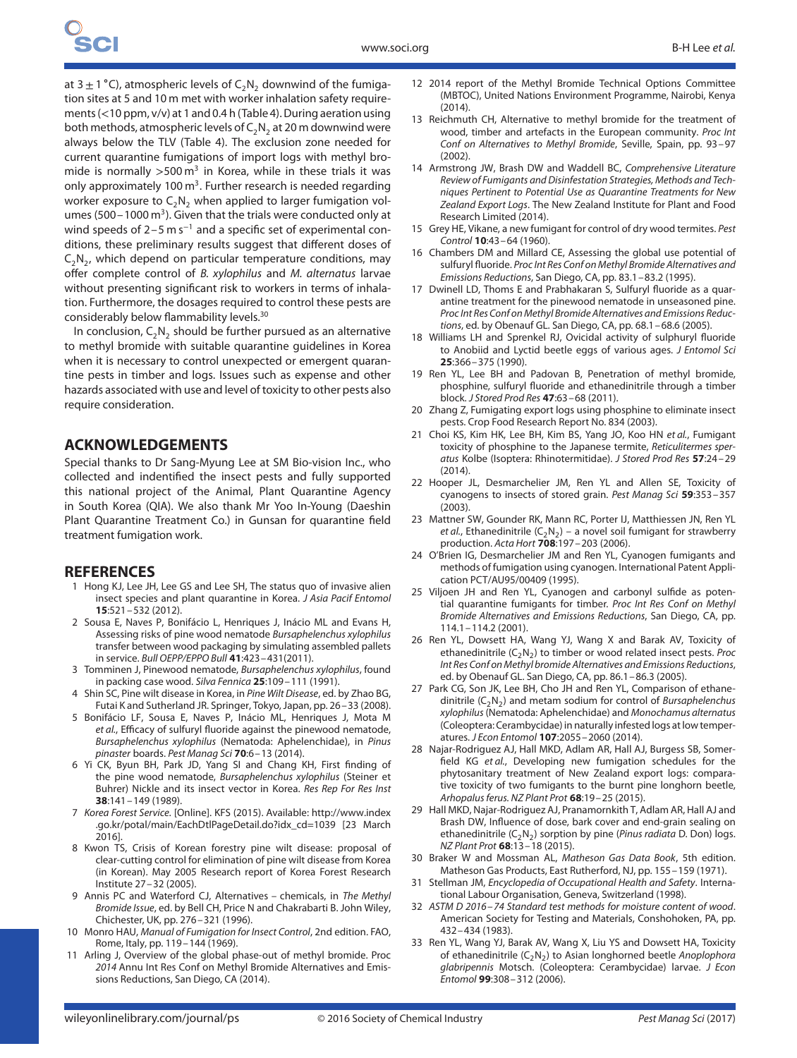at  $3±1$  °C), atmospheric levels of C<sub>2</sub>N<sub>2</sub> downwind of the fumigation sites at 5 and 10 m met with worker inhalation safety requirements (*<*10 ppm, v/v) at 1 and 0.4 h (Table 4). During aeration using both methods, atmospheric levels of  $C_2N_2$  at 20 m downwind were always below the TLV (Table 4). The exclusion zone needed for current quarantine fumigations of import logs with methyl bromide is normally >500 m<sup>3</sup> in Korea, while in these trials it was only approximately 100  $m<sup>3</sup>$ . Further research is needed regarding worker exposure to  $C_2N_2$  when applied to larger fumigation volumes (500 – 1000 m<sup>3</sup>). Given that the trials were conducted only at wind speeds of 2–5 m s<sup>-1</sup> and a specific set of experimental conditions, these preliminary results suggest that different doses of  $C_2N_2$ , which depend on particular temperature conditions, may offer complete control of B. xylophilus and M. alternatus larvae without presenting significant risk to workers in terms of inhalation. Furthermore, the dosages required to control these pests are considerably below flammability levels.30

In conclusion,  $C_2N_2$  should be further pursued as an alternative to methyl bromide with suitable quarantine guidelines in Korea when it is necessary to control unexpected or emergent quarantine pests in timber and logs. Issues such as expense and other hazards associated with use and level of toxicity to other pests also require consideration.

## **ACKNOWLEDGEMENTS**

Special thanks to Dr Sang-Myung Lee at SM Bio-vision Inc., who collected and indentified the insect pests and fully supported this national project of the Animal, Plant Quarantine Agency in South Korea (QIA). We also thank Mr Yoo In-Young (Daeshin Plant Quarantine Treatment Co.) in Gunsan for quarantine field treatment fumigation work.

## **REFERENCES**

- 1 Hong KJ, Lee JH, Lee GS and Lee SH, The status quo of invasive alien insect species and plant quarantine in Korea. J Asia Pacif Entomol **15**:521–532 (2012).
- 2 Sousa E, Naves P, Bonifácio L, Henriques J, Inácio ML and Evans H, Assessing risks of pine wood nematode Bursaphelenchus xylophilus transfer between wood packaging by simulating assembled pallets in service. Bull OEPP/EPPO Bull **41**:423–431(2011).
- 3 Tomminen J, Pinewood nematode, Bursaphelenchus xylophilus, found in packing case wood. Silva Fennica **25**:109–111 (1991).
- 4 Shin SC, Pine wilt disease in Korea, in Pine Wilt Disease, ed. by Zhao BG, Futai K and Sutherland JR. Springer, Tokyo, Japan, pp. 26–33 (2008).
- 5 Bonifácio LF, Sousa E, Naves P, Inácio ML, Henriques J, Mota M et al., Efficacy of sulfuryl fluoride against the pinewood nematode, Bursaphelenchus xylophilus (Nematoda: Aphelenchidae), in Pinus pinaster boards. Pest Manag Sci **70**:6–13 (2014).
- 6 Yi CK, Byun BH, Park JD, Yang SI and Chang KH, First finding of the pine wood nematode, Bursaphelenchus xylophilus (Steiner et Buhrer) Nickle and its insect vector in Korea. Res Rep For Res Inst **38**:141–149 (1989).
- 7 Korea Forest Service. [Online]. KFS (2015). Available: [http://www.index](http://www.index.go.kr/potal/main/EachDtlPageDetail.do?idx_cd=1039) [.go.kr/potal/main/EachDtlPageDetail.do?idx\\_cd=1039](http://www.index.go.kr/potal/main/EachDtlPageDetail.do?idx_cd=1039) [23 March 2016].
- 8 Kwon TS, Crisis of Korean forestry pine wilt disease: proposal of clear-cutting control for elimination of pine wilt disease from Korea (in Korean). May 2005 Research report of Korea Forest Research Institute 27–32 (2005).
- 9 Annis PC and Waterford CJ, Alternatives chemicals, in The Methyl Bromide Issue, ed. by Bell CH, Price N and Chakrabarti B. John Wiley, Chichester, UK, pp. 276–321 (1996).
- 10 Monro HAU, Manual of Fumigation for Insect Control, 2nd edition. FAO, Rome, Italy, pp. 119–144 (1969).
- Arling J, Overview of the global phase-out of methyl bromide. Proc 2014 Annu Int Res Conf on Methyl Bromide Alternatives and Emissions Reductions, San Diego, CA (2014).
- 12 2014 report of the Methyl Bromide Technical Options Committee (MBTOC), United Nations Environment Programme, Nairobi, Kenya  $(2014)$
- 13 Reichmuth CH, Alternative to methyl bromide for the treatment of wood, timber and artefacts in the European community. Proc Int Conf on Alternatives to Methyl Bromide, Seville, Spain, pp. 93–97 (2002).
- 14 Armstrong JW, Brash DW and Waddell BC, Comprehensive Literature Review of Fumigants and Disinfestation Strategies, Methods and Techniques Pertinent to Potential Use as Quarantine Treatments for New Zealand Export Logs. The New Zealand Institute for Plant and Food Research Limited (2014).
- 15 Grey HE, Vikane, a new fumigant for control of dry wood termites. Pest Control **10**:43–64 (1960).
- 16 Chambers DM and Millard CE, Assessing the global use potential of sulfuryl fluoride. Proc Int Res Conf on Methyl Bromide Alternatives and Emissions Reductions, San Diego, CA, pp. 83.1–83.2 (1995).
- 17 Dwinell LD, Thoms E and Prabhakaran S, Sulfuryl fluoride as a quarantine treatment for the pinewood nematode in unseasoned pine. Proc Int Res Conf on Methyl Bromide Alternatives and Emissions Reductions, ed. by Obenauf GL. San Diego, CA, pp. 68.1–68.6 (2005).
- 18 Williams LH and Sprenkel RJ, Ovicidal activity of sulphuryl fluoride to Anobiid and Lyctid beetle eggs of various ages. J Entomol Sci **25**:366–375 (1990).
- 19 Ren YL, Lee BH and Padovan B, Penetration of methyl bromide, phosphine, sulfuryl fluoride and ethanedinitrile through a timber block. J Stored Prod Res **47**:63–68 (2011).
- 20 Zhang Z, Fumigating export logs using phosphine to eliminate insect pests. Crop Food Research Report No. 834 (2003).
- 21 Choi KS, Kim HK, Lee BH, Kim BS, Yang JO, Koo HN et al., Fumigant toxicity of phosphine to the Japanese termite, Reticulitermes speratus Kolbe (Isoptera: Rhinotermitidae). J Stored Prod Res **57**:24–29  $(2014)$
- 22 Hooper JL, Desmarchelier JM, Ren YL and Allen SE, Toxicity of cyanogens to insects of stored grain. Pest Manag Sci **59**:353–357 (2003).
- 23 Mattner SW, Gounder RK, Mann RC, Porter IJ, Matthiessen JN, Ren YL et al., Ethanedinitrile  $(C_2N_2)$  – a novel soil fumigant for strawberry production. Acta Hort **708**:197–203 (2006).
- 24 O'Brien IG, Desmarchelier JM and Ren YL, Cyanogen fumigants and methods of fumigation using cyanogen. International Patent Application PCT/AU95/00409 (1995).
- 25 Viljoen JH and Ren YL, Cyanogen and carbonyl sulfide as potential quarantine fumigants for timber. Proc Int Res Conf on Methyl Bromide Alternatives and Emissions Reductions, San Diego, CA, pp. 114.1–114.2 (2001).
- 26 Ren YL, Dowsett HA, Wang YJ, Wang X and Barak AV, Toxicity of ethanedinitrile  $(C_2N_2)$  to timber or wood related insect pests. Proc Int Res Conf on Methyl bromide Alternatives and Emissions Reductions, ed. by Obenauf GL. San Diego, CA, pp. 86.1–86.3 (2005).
- 27 Park CG, Son JK, Lee BH, Cho JH and Ren YL, Comparison of ethanedinitrile  $(C_2N_2)$  and metam sodium for control of *Bursaphelenchus* xylophilus(Nematoda: Aphelenchidae) and Monochamus alternatus (Coleoptera: Cerambycidae) in naturally infested logs at low temperatures. J Econ Entomol **107**:2055–2060 (2014).
- 28 Najar-Rodriguez AJ, Hall MKD, Adlam AR, Hall AJ, Burgess SB, Somerfield KG et al., Developing new fumigation schedules for the phytosanitary treatment of New Zealand export logs: comparative toxicity of two fumigants to the burnt pine longhorn beetle, Arhopalus ferus. NZ Plant Prot **68**:19–25 (2015).
- 29 Hall MKD, Najar-Rodriguez AJ, Pranamornkith T, Adlam AR, Hall AJ and Brash DW, Influence of dose, bark cover and end-grain sealing on ethanedinitrile  $(C_2N_2)$  sorption by pine (Pinus radiata D. Don) logs. NZ Plant Prot **68**:13–18 (2015).
- 30 Braker W and Mossman AL, Matheson Gas Data Book, 5th edition. Matheson Gas Products, East Rutherford, NJ, pp. 155–159 (1971).
- 31 Stellman JM, Encyclopedia of Occupational Health and Safety. International Labour Organisation, Geneva, Switzerland (1998).
- 32 ASTM D 2016–74 Standard test methods for moisture content of wood. American Society for Testing and Materials, Conshohoken, PA, pp. 432–434 (1983).
- 33 Ren YL, Wang YJ, Barak AV, Wang X, Liu YS and Dowsett HA, Toxicity of ethanedinitrile  $(C_2N_2)$  to Asian longhorned beetle Anoplophora glabripennis Motsch. (Coleoptera: Cerambycidae) larvae. J Econ Entomol **99**:308–312 (2006).